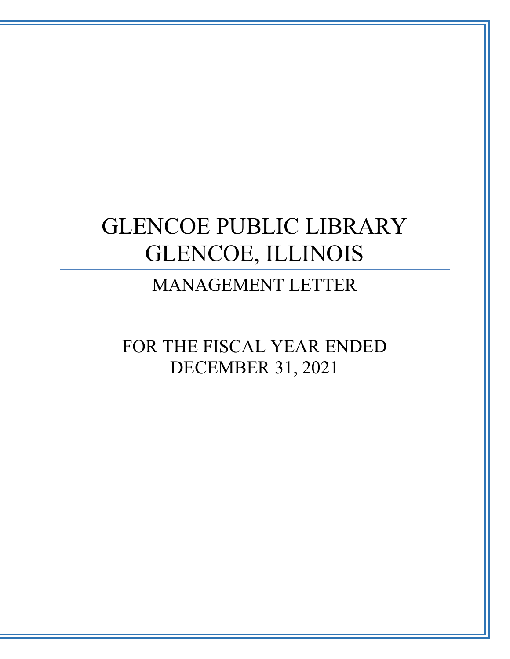# GLENCOE PUBLIC LIBRARY GLENCOE, ILLINOIS

MANAGEMENT LETTER

FOR THE FISCAL YEAR ENDED DECEMBER 31, 2021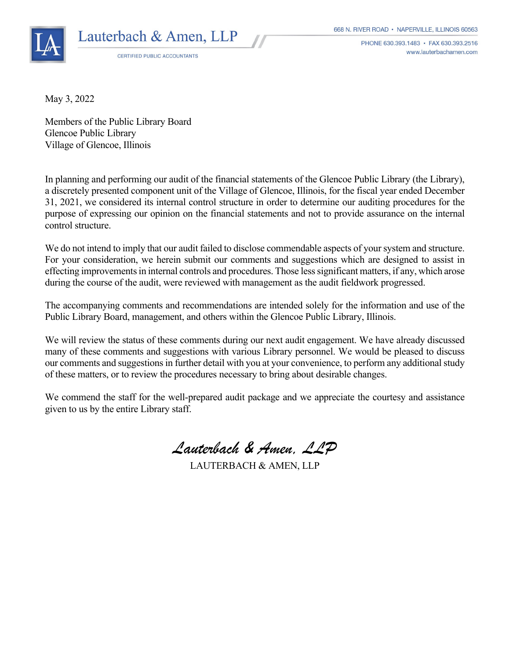

CERTIFIED PUBLIC ACCOUNTANTS

668 N. RIVER ROAD · NAPERVILLE, ILLINOIS 60563

PHONE 630.393.1483 · FAX 630.393.2516 www.lauterbachamen.com

May 3, 2022

Members of the Public Library Board Glencoe Public Library Village of Glencoe, Illinois

In planning and performing our audit of the financial statements of the Glencoe Public Library (the Library), a discretely presented component unit of the Village of Glencoe, Illinois, for the fiscal year ended December 31, 2021, we considered its internal control structure in order to determine our auditing procedures for the purpose of expressing our opinion on the financial statements and not to provide assurance on the internal control structure.

We do not intend to imply that our audit failed to disclose commendable aspects of your system and structure. For your consideration, we herein submit our comments and suggestions which are designed to assist in effecting improvements in internal controls and procedures. Those less significant matters, if any, which arose during the course of the audit, were reviewed with management as the audit fieldwork progressed.

The accompanying comments and recommendations are intended solely for the information and use of the Public Library Board, management, and others within the Glencoe Public Library, Illinois.

We will review the status of these comments during our next audit engagement. We have already discussed many of these comments and suggestions with various Library personnel. We would be pleased to discuss our comments and suggestions in further detail with you at your convenience, to perform any additional study of these matters, or to review the procedures necessary to bring about desirable changes.

We commend the staff for the well-prepared audit package and we appreciate the courtesy and assistance given to us by the entire Library staff.

*Lauterbach & Amen, LLP*

LAUTERBACH & AMEN, LLP